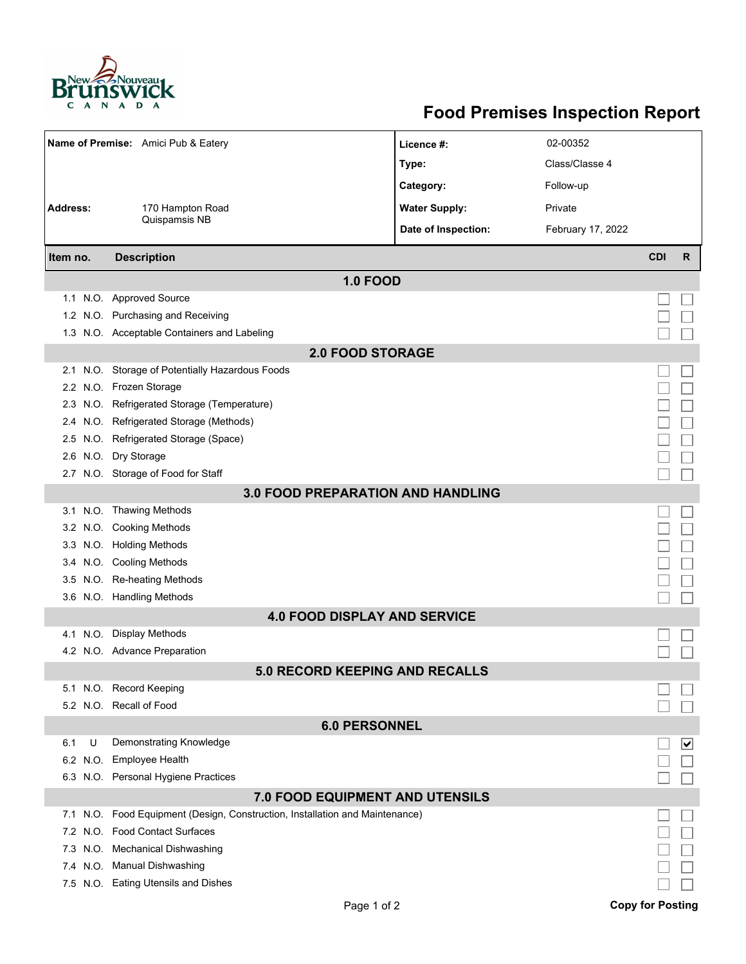

## **Food Premises Inspection Report**

|                                          | Name of Premise: Amici Pub & Eatery                                          | Licence #:           | 02-00352          |            |                                 |  |  |  |  |  |  |
|------------------------------------------|------------------------------------------------------------------------------|----------------------|-------------------|------------|---------------------------------|--|--|--|--|--|--|
|                                          |                                                                              | Type:                | Class/Classe 4    |            |                                 |  |  |  |  |  |  |
|                                          |                                                                              | Category:            | Follow-up         |            |                                 |  |  |  |  |  |  |
| <b>Address:</b><br>170 Hampton Road      |                                                                              | <b>Water Supply:</b> | Private           |            |                                 |  |  |  |  |  |  |
|                                          | Quispamsis NB                                                                | Date of Inspection:  | February 17, 2022 |            |                                 |  |  |  |  |  |  |
|                                          |                                                                              |                      |                   |            |                                 |  |  |  |  |  |  |
| Item no.                                 | <b>Description</b>                                                           |                      |                   | <b>CDI</b> | $\mathsf{R}$                    |  |  |  |  |  |  |
| <b>1.0 FOOD</b>                          |                                                                              |                      |                   |            |                                 |  |  |  |  |  |  |
|                                          | 1.1 N.O. Approved Source                                                     |                      |                   |            |                                 |  |  |  |  |  |  |
|                                          | 1.2 N.O. Purchasing and Receiving                                            |                      |                   |            |                                 |  |  |  |  |  |  |
|                                          | 1.3 N.O. Acceptable Containers and Labeling                                  |                      |                   |            |                                 |  |  |  |  |  |  |
| <b>2.0 FOOD STORAGE</b>                  |                                                                              |                      |                   |            |                                 |  |  |  |  |  |  |
|                                          | 2.1 N.O. Storage of Potentially Hazardous Foods                              |                      |                   |            |                                 |  |  |  |  |  |  |
|                                          | 2.2 N.O. Frozen Storage                                                      |                      |                   |            |                                 |  |  |  |  |  |  |
|                                          | 2.3 N.O. Refrigerated Storage (Temperature)                                  |                      |                   |            |                                 |  |  |  |  |  |  |
|                                          | 2.4 N.O. Refrigerated Storage (Methods)                                      |                      |                   |            |                                 |  |  |  |  |  |  |
|                                          | 2.5 N.O. Refrigerated Storage (Space)                                        |                      |                   |            |                                 |  |  |  |  |  |  |
|                                          | 2.6 N.O. Dry Storage                                                         |                      |                   |            |                                 |  |  |  |  |  |  |
|                                          | 2.7 N.O. Storage of Food for Staff                                           |                      |                   |            |                                 |  |  |  |  |  |  |
| <b>3.0 FOOD PREPARATION AND HANDLING</b> |                                                                              |                      |                   |            |                                 |  |  |  |  |  |  |
|                                          | 3.1 N.O. Thawing Methods                                                     |                      |                   |            |                                 |  |  |  |  |  |  |
|                                          | 3.2 N.O. Cooking Methods                                                     |                      |                   |            |                                 |  |  |  |  |  |  |
|                                          | 3.3 N.O. Holding Methods                                                     |                      |                   |            |                                 |  |  |  |  |  |  |
|                                          | 3.4 N.O. Cooling Methods                                                     |                      |                   |            |                                 |  |  |  |  |  |  |
|                                          | 3.5 N.O. Re-heating Methods                                                  |                      |                   |            |                                 |  |  |  |  |  |  |
|                                          | 3.6 N.O. Handling Methods                                                    |                      |                   |            |                                 |  |  |  |  |  |  |
|                                          | <b>4.0 FOOD DISPLAY AND SERVICE</b>                                          |                      |                   |            |                                 |  |  |  |  |  |  |
|                                          | 4.1 N.O. Display Methods                                                     |                      |                   |            |                                 |  |  |  |  |  |  |
|                                          | 4.2 N.O. Advance Preparation                                                 |                      |                   |            |                                 |  |  |  |  |  |  |
|                                          | <b>5.0 RECORD KEEPING AND RECALLS</b>                                        |                      |                   |            |                                 |  |  |  |  |  |  |
|                                          | 5.1 N.O. Record Keeping                                                      |                      |                   |            |                                 |  |  |  |  |  |  |
|                                          | 5.2 N.O. Recall of Food                                                      |                      |                   |            |                                 |  |  |  |  |  |  |
| <b>6.0 PERSONNEL</b>                     |                                                                              |                      |                   |            |                                 |  |  |  |  |  |  |
| 6.1                                      | <b>Demonstrating Knowledge</b><br>U                                          |                      |                   |            | $\overline{\blacktriangledown}$ |  |  |  |  |  |  |
|                                          | 6.2 N.O. Employee Health                                                     |                      |                   |            |                                 |  |  |  |  |  |  |
|                                          | 6.3 N.O. Personal Hygiene Practices                                          |                      |                   |            |                                 |  |  |  |  |  |  |
| <b>7.0 FOOD EQUIPMENT AND UTENSILS</b>   |                                                                              |                      |                   |            |                                 |  |  |  |  |  |  |
|                                          | 7.1 N.O. Food Equipment (Design, Construction, Installation and Maintenance) |                      |                   |            |                                 |  |  |  |  |  |  |
|                                          | 7.2 N.O. Food Contact Surfaces                                               |                      |                   |            |                                 |  |  |  |  |  |  |
|                                          | 7.3 N.O. Mechanical Dishwashing                                              |                      |                   |            |                                 |  |  |  |  |  |  |
|                                          | 7.4 N.O. Manual Dishwashing                                                  |                      |                   |            |                                 |  |  |  |  |  |  |
|                                          | 7.5 N.O. Eating Utensils and Dishes                                          |                      |                   |            |                                 |  |  |  |  |  |  |